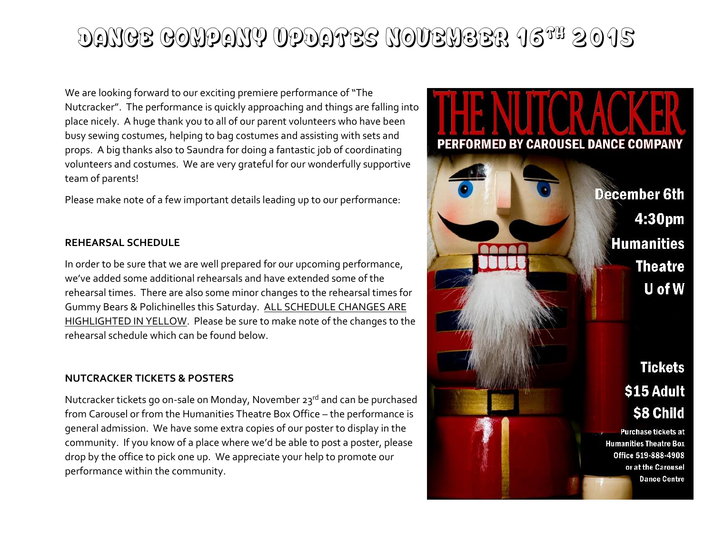## DANCE COMPANY UPDATES NOVEMBER 16TH 2015

We are looking forward to our exciting premiere performance of "The Nutcracker". The performance is quickly approaching and things are falling into place nicely. A huge thank you to all of our parent volunteers who have been busy sewing costumes, helping to bag costumes and assisting with sets and props. A big thanks also to Saundra for doing a fantastic job of coordinating volunteers and costumes. We are very grateful for our wonderfully supportive team of parents!

Please make note of a few important details leading up to our performance:

#### **REHEARSAL SCHEDULE**

In order to be sure that we are well prepared for our upcoming performance, we've added some additional rehearsals and have extended some of the rehearsal times. There are also some minor changes to the rehearsal times for Gummy Bears & Polichinelles this Saturday. ALL SCHEDULE CHANGES ARE HIGHLIGHTED IN YELLOW. Please be sure to make note of the changes to the rehearsal schedule which can be found below.

#### **NUTCRACKER TICKETS & POSTERS**

Nutcracker tickets go on-sale on Monday, November 23rd and can be purchased from Carousel or from the Humanities Theatre Box Office – the performance is general admission. We have some extra copies of our poster to display in the community. If you know of a place where we'd be able to post a poster, please drop by the office to pick one up. We appreciate your help to promote our performance within the community.

# PERFORMED BY CAROUSEL DANCE COMPANY **December 6th** 4:30pm **Humanities Theatre** U of W **Tickets** \$15 Adult **S8 Child Purchase tickets at Humanities Theatre Box** Office 519-888-4908 or at the Carousel **Dance Centre**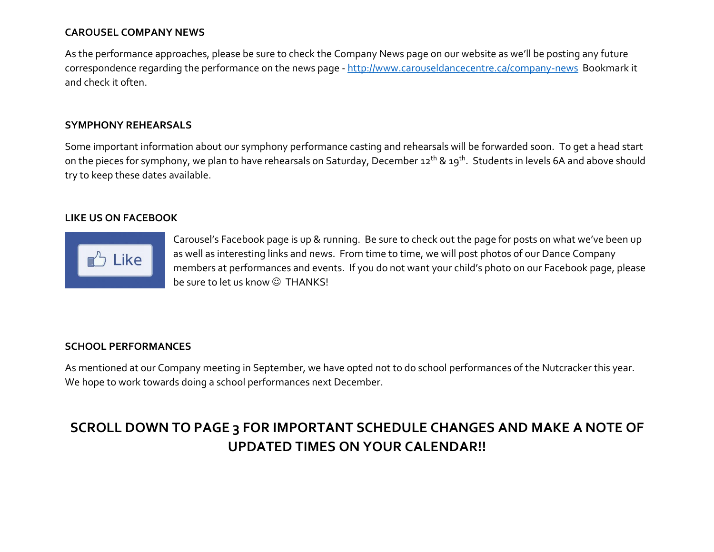#### **CAROUSEL COMPANY NEWS**

As the performance approaches, please be sure to check the Company News page on our website as we'll be posting any future correspondence regarding the performance on the news page - <http://www.carouseldancecentre.ca/company-news>Bookmark it and check it often.

#### **SYMPHONY REHEARSALS**

Some important information about our symphony performance casting and rehearsals will be forwarded soon. To get a head start on the pieces for symphony, we plan to have rehearsals on Saturday, December 12<sup>th</sup> & 19<sup>th</sup>. Students in levels 6A and above should try to keep these dates available.

#### **LIKE US ON FACEBOOK**



Carousel's Facebook page is up & running. Be sure to check out the page for posts on what we've been up as well as interesting links and news. From time to time, we will post photos of our Dance Company members at performances and events. If you do not want your child's photo on our Facebook page, please be sure to let us know  $\odot$  THANKS!

#### **SCHOOL PERFORMANCES**

As mentioned at our Company meeting in September, we have opted not to do school performances of the Nutcracker this year. We hope to work towards doing a school performances next December.

### **SCROLL DOWN TO PAGE 3 FOR IMPORTANT SCHEDULE CHANGES AND MAKE A NOTE OF UPDATED TIMES ON YOUR CALENDAR!!**